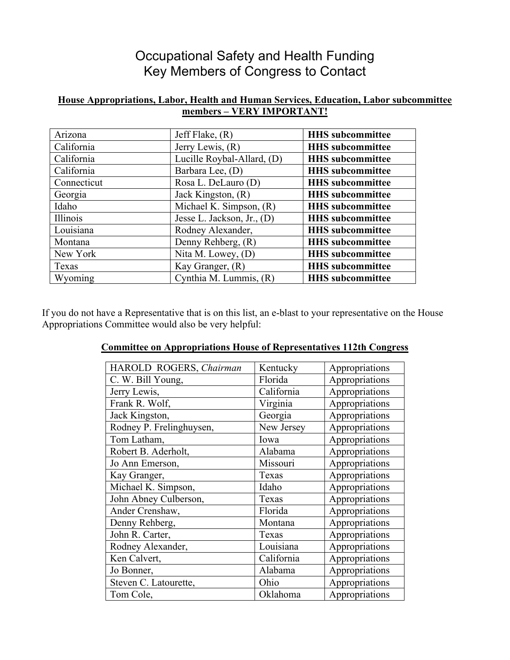## Occupational Safety and Health Funding Key Members of Congress to Contact

## **House Appropriations, Labor, Health and Human Services, Education, Labor subcommittee members – VERY IMPORTANT!**

| Arizona     | Jeff Flake, $(R)$            | <b>HHS</b> subcommittee |
|-------------|------------------------------|-------------------------|
| California  | Jerry Lewis, $(R)$           | <b>HHS</b> subcommittee |
| California  | Lucille Roybal-Allard, (D)   | <b>HHS</b> subcommittee |
| California  | Barbara Lee, (D)             | <b>HHS</b> subcommittee |
| Connecticut | Rosa L. DeLauro (D)          | <b>HHS</b> subcommittee |
| Georgia     | Jack Kingston, (R)           | <b>HHS</b> subcommittee |
| Idaho       | Michael K. Simpson, (R)      | <b>HHS</b> subcommittee |
| Illinois    | Jesse L. Jackson, Jr., $(D)$ | <b>HHS</b> subcommittee |
| Louisiana   | Rodney Alexander,            | <b>HHS</b> subcommittee |
| Montana     | Denny Rehberg, (R)           | <b>HHS</b> subcommittee |
| New York    | Nita M. Lowey, $(D)$         | <b>HHS</b> subcommittee |
| Texas       | Kay Granger, (R)             | <b>HHS</b> subcommittee |
| Wyoming     | Cynthia M. Lummis, (R)       | <b>HHS</b> subcommittee |

If you do not have a Representative that is on this list, an e-blast to your representative on the House Appropriations Committee would also be very helpful:

## **Committee on Appropriations House of Representatives 112th Congress**

| HAROLD ROGERS, Chairman  | Kentucky   | Appropriations |
|--------------------------|------------|----------------|
| C. W. Bill Young,        | Florida    | Appropriations |
| Jerry Lewis,             | California | Appropriations |
| Frank R. Wolf,           | Virginia   | Appropriations |
| Jack Kingston,           | Georgia    | Appropriations |
| Rodney P. Frelinghuysen, | New Jersey | Appropriations |
| Tom Latham,              | Iowa       | Appropriations |
| Robert B. Aderholt,      | Alabama    | Appropriations |
| Jo Ann Emerson,          | Missouri   | Appropriations |
| Kay Granger,             | Texas      | Appropriations |
| Michael K. Simpson,      | Idaho      | Appropriations |
| John Abney Culberson,    | Texas      | Appropriations |
| Ander Crenshaw,          | Florida    | Appropriations |
| Denny Rehberg,           | Montana    | Appropriations |
| John R. Carter,          | Texas      | Appropriations |
| Rodney Alexander,        | Louisiana  | Appropriations |
| Ken Calvert,             | California | Appropriations |
| Jo Bonner,               | Alabama    | Appropriations |
| Steven C. Latourette,    | Ohio       | Appropriations |
| Tom Cole,                | Oklahoma   | Appropriations |